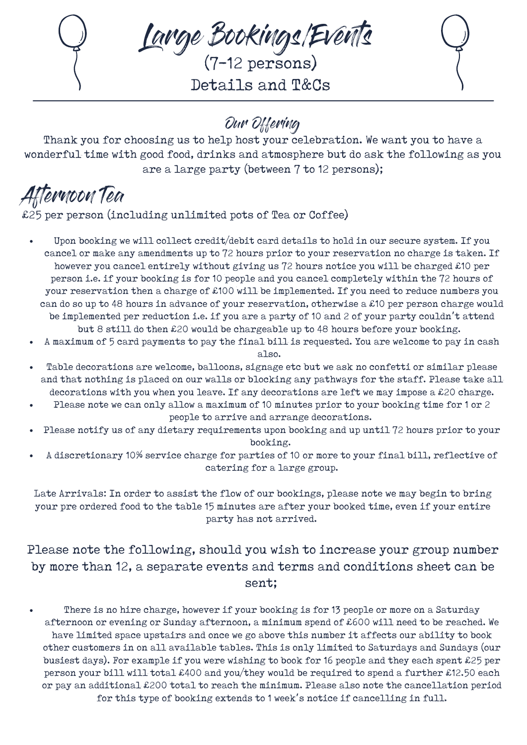Large Bookings/Events

(7-12 persons) Details and T&Cs



## Our Offering

Thank you for choosing us to help host your celebration. We want you to have a wonderful time with good food, drinks and atmosphere but do ask the following as you are a large party (between 7 to 12 persons);

Afternoon Tea

£25 per person (including unlimited pots of Tea or Coffee)

- Upon booking we will collect credit/debit card details to hold in our secure system. If you cancel or make any amendments up to 72 hours prior to your reservation no charge is taken. If however you cancel entirely without giving us 72 hours notice you will be charged £10 per person i.e. if your booking is for 10 people and you cancel completely within the 72 hours of your reservation then a charge of £100 will be implemented. If you need to reduce numbers you can do so up to 48 hours in advance of your reservation, otherwise a £10 per person charge would be implemented per reduction i.e. if you are a party of 10 and 2 of your party couldn't attend but 8 still do then £20 would be chargeable up to 48 hours before your booking.
- A maximum of 5 card payments to pay the final bill is requested. You are welcome to pay in cash also.
- Table decorations are welcome, balloons, signage etc but we ask no confetti or similar please and that nothing is placed on our walls or blocking any pathways for the staff. Please take all decorations with you when you leave. If any decorations are left we may impose a £20 charge.
- Please note we can only allow a maximum of 10 minutes prior to your booking time for 1 or 2 people to arrive and arrange decorations.
- Please notify us of any dietary requirements upon booking and up until 72 hours prior to your booking.
- A discretionary 10% service charge for parties of 10 or more to your final bill, reflective of catering for a large group.

Late Arrivals: In order to assist the flow of our bookings, please note we may begin to bring your pre ordered food to the table 15 minutes are after your booked time, even if your entire party has not arrived.

## Please note the following, should you wish to increase your group number by more than 12, a separate events and terms and conditions sheet can be sent;

There is no hire charge, however if your booking is for 13 people or more on a Saturday afternoon or evening or Sunday afternoon, a minimum spend of £600 will need to be reached. We have limited space upstairs and once we go above this number it affects our ability to book other customers in on all available tables. This is only limited to Saturdays and Sundays (our busiest days). For example if you were wishing to book for 16 people and they each spent £25 per person your bill will total £400 and you/they would be required to spend a further £12.50 each or pay an additional £200 total to reach the minimum. Please also note the cancellation period for this type of booking extends to 1 week's notice if cancelling in full.